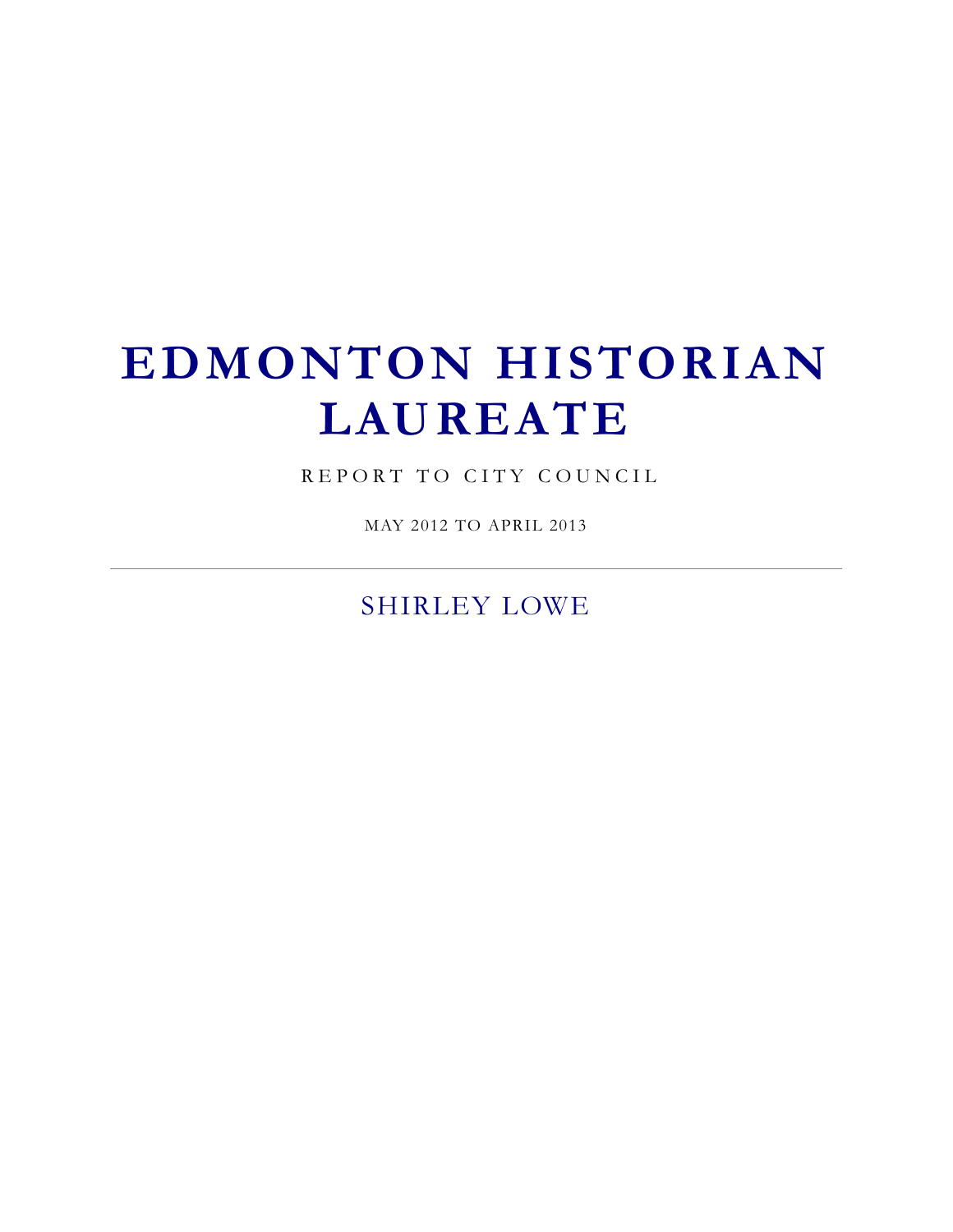# **EDMONTON HISTORIAN LAUREATE**

REPORT TO CITY COUNCIL

MAY 2012 TO APRIL 2013

SHIRLEY LOWE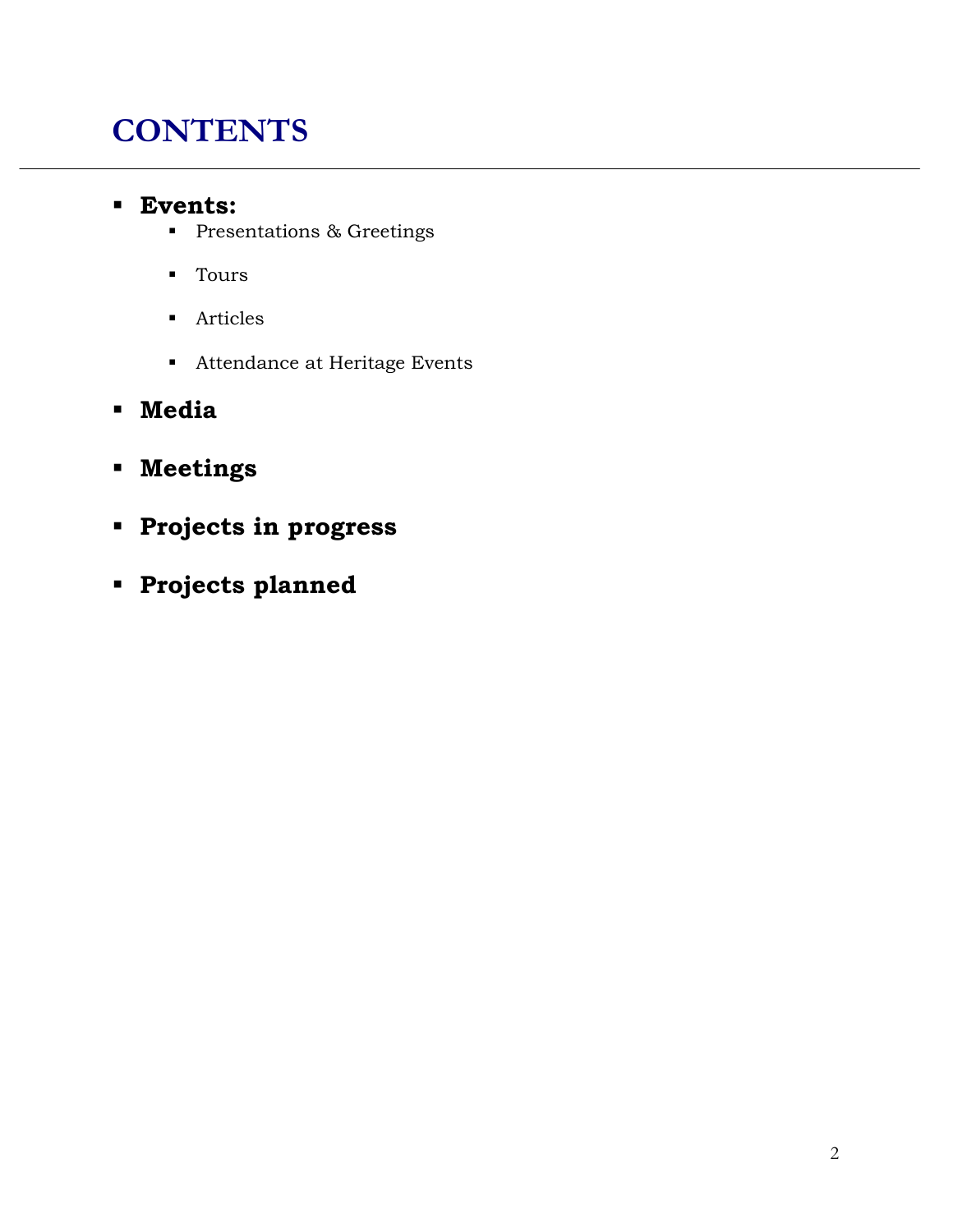# **CONTENTS**

#### **Events:**

- **Presentations & Greetings**
- **Tours**
- **Articles**
- Attendance at Heritage Events
- **Media**
- **Meetings**
- **Projects in progress**
- **Projects planned**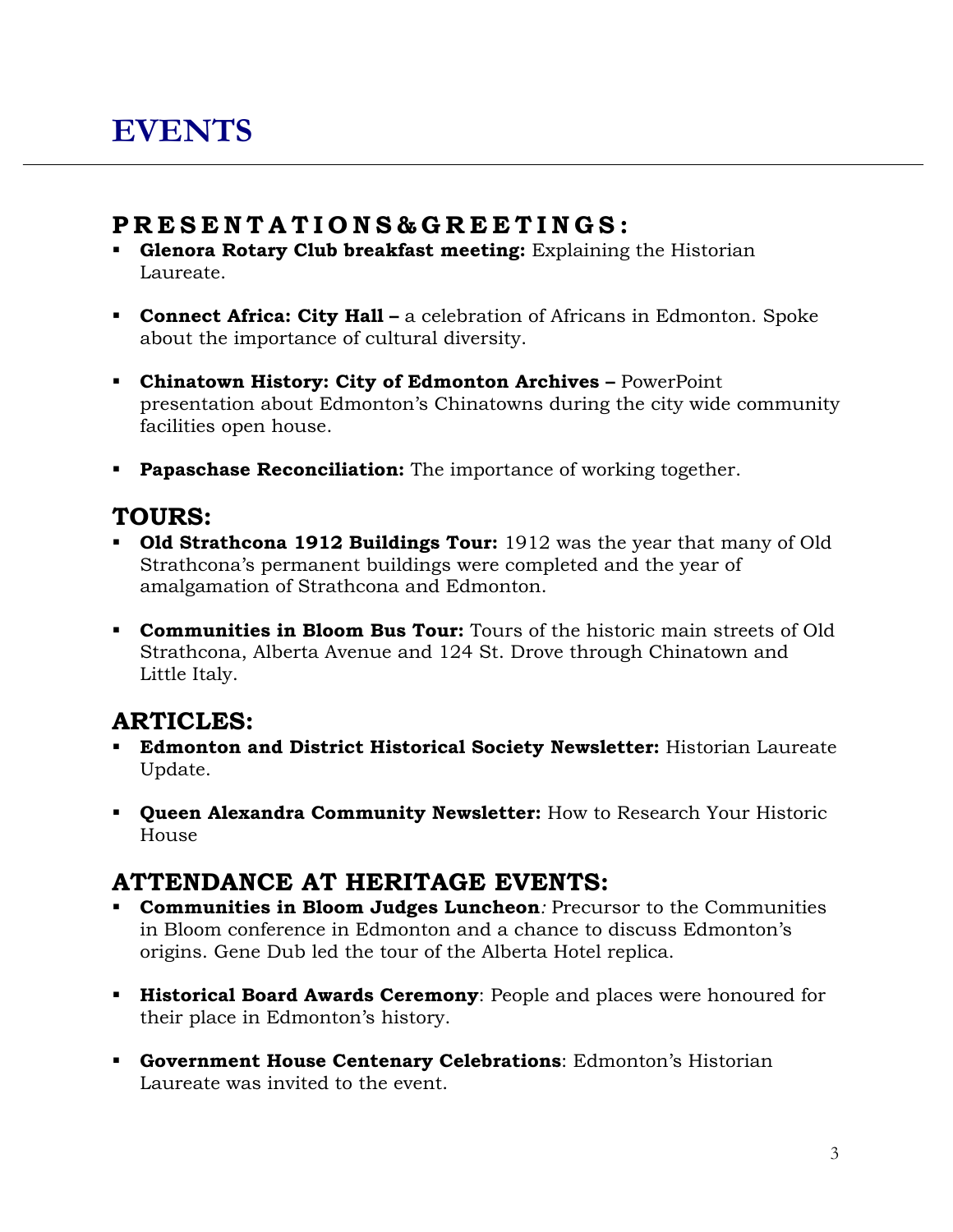#### **P R E S E N T A T I O N S & G R E E T I N G S :**

- **Glenora Rotary Club breakfast meeting:** Explaining the Historian Laureate.
- **Connect Africa: City Hall** a celebration of Africans in Edmonton. Spoke about the importance of cultural diversity.
- **Chinatown History: City of Edmonton Archives –** PowerPoint presentation about Edmonton's Chinatowns during the city wide community facilities open house.
- **Papaschase Reconciliation:** The importance of working together.

#### **TOURS:**

- **Old Strathcona 1912 Buildings Tour:** 1912 was the year that many of Old Strathcona's permanent buildings were completed and the year of amalgamation of Strathcona and Edmonton.
- **Communities in Bloom Bus Tour:** Tours of the historic main streets of Old Strathcona, Alberta Avenue and 124 St. Drove through Chinatown and Little Italy.

#### **ARTICLES:**

- **Edmonton and District Historical Society Newsletter:** Historian Laureate Update.
- **Queen Alexandra Community Newsletter:** How to Research Your Historic House

# **ATTENDANCE AT HERITAGE EVENTS:**

- **Communities in Bloom Judges Luncheon***:* Precursor to the Communities in Bloom conference in Edmonton and a chance to discuss Edmonton's origins. Gene Dub led the tour of the Alberta Hotel replica.
- **Historical Board Awards Ceremony**: People and places were honoured for their place in Edmonton's history.
- **Government House Centenary Celebrations**: Edmonton's Historian Laureate was invited to the event.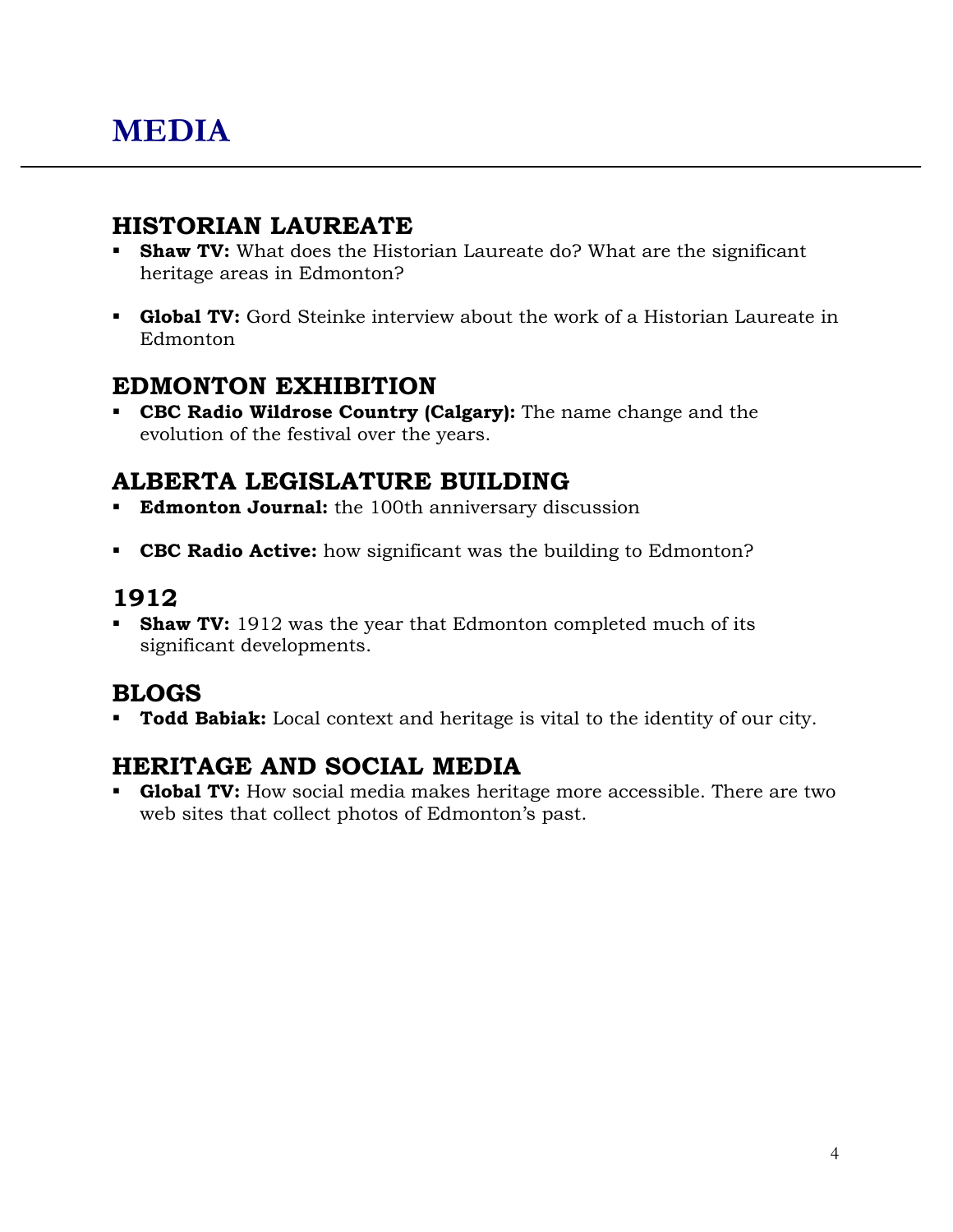#### **HISTORIAN LAUREATE**

- **Shaw TV:** What does the Historian Laureate do? What are the significant heritage areas in Edmonton?
- **Global TV:** Gord Steinke interview about the work of a Historian Laureate in Edmonton

#### **EDMONTON EXHIBITION**

 **CBC Radio Wildrose Country (Calgary):** The name change and the evolution of the festival over the years.

### **ALBERTA LEGISLATURE BUILDING**

- **Edmonton Journal:** the 100th anniversary discussion
- **CBC Radio Active:** how significant was the building to Edmonton?

# **1912**

**Shaw TV:** 1912 was the year that Edmonton completed much of its significant developments.

### **BLOGS**

**Todd Babiak:** Local context and heritage is vital to the identity of our city.

### **HERITAGE AND SOCIAL MEDIA**

 **Global TV:** How social media makes heritage more accessible. There are two web sites that collect photos of Edmonton's past.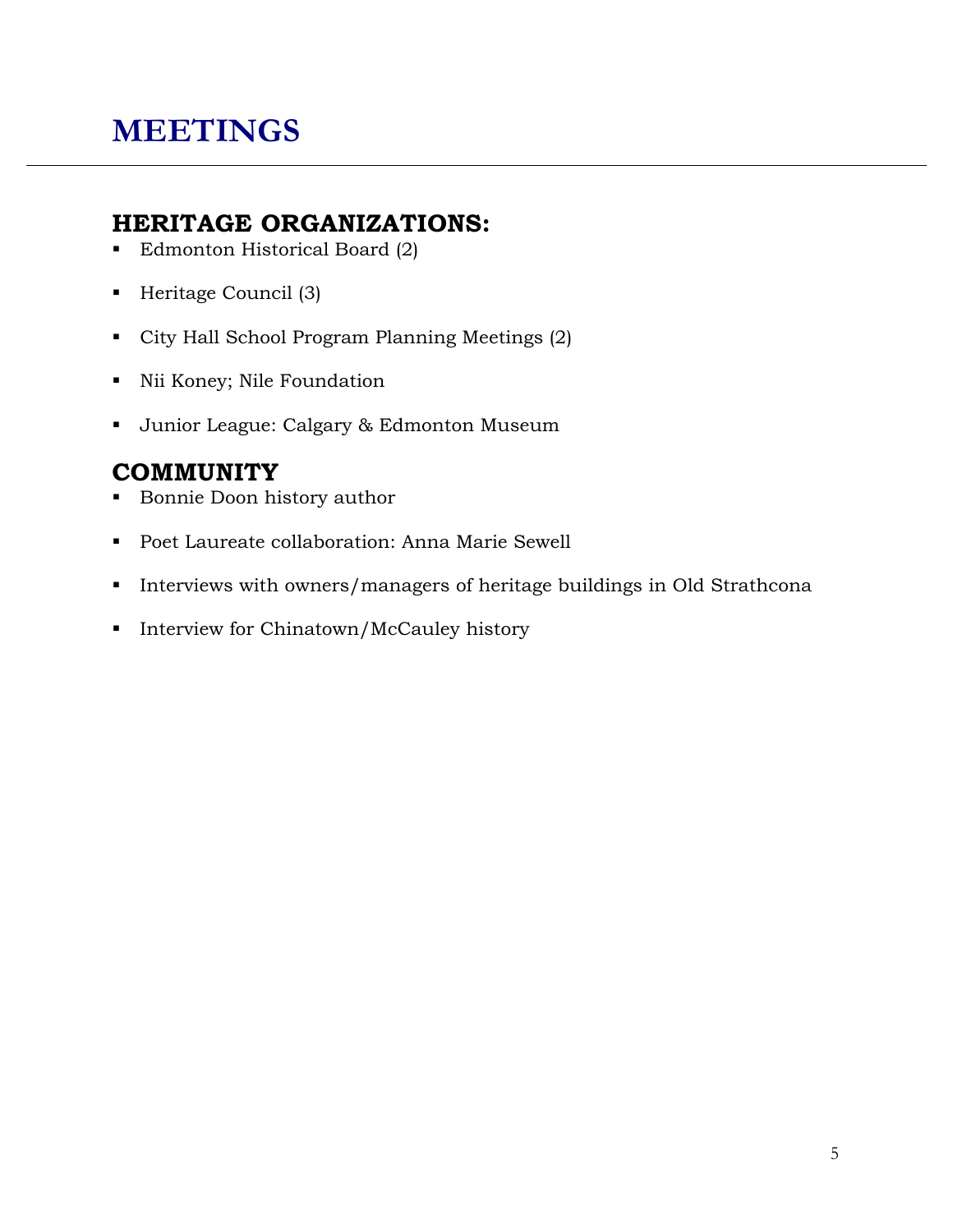# **MEETINGS**

#### **HERITAGE ORGANIZATIONS:**

- Edmonton Historical Board (2)
- Heritage Council (3)
- City Hall School Program Planning Meetings (2)
- Nii Koney; Nile Foundation
- Junior League: Calgary & Edmonton Museum

# **COMMUNITY**

- Bonnie Doon history author
- Poet Laureate collaboration: Anna Marie Sewell
- Interviews with owners/managers of heritage buildings in Old Strathcona
- **Interview for Chinatown/McCauley history**